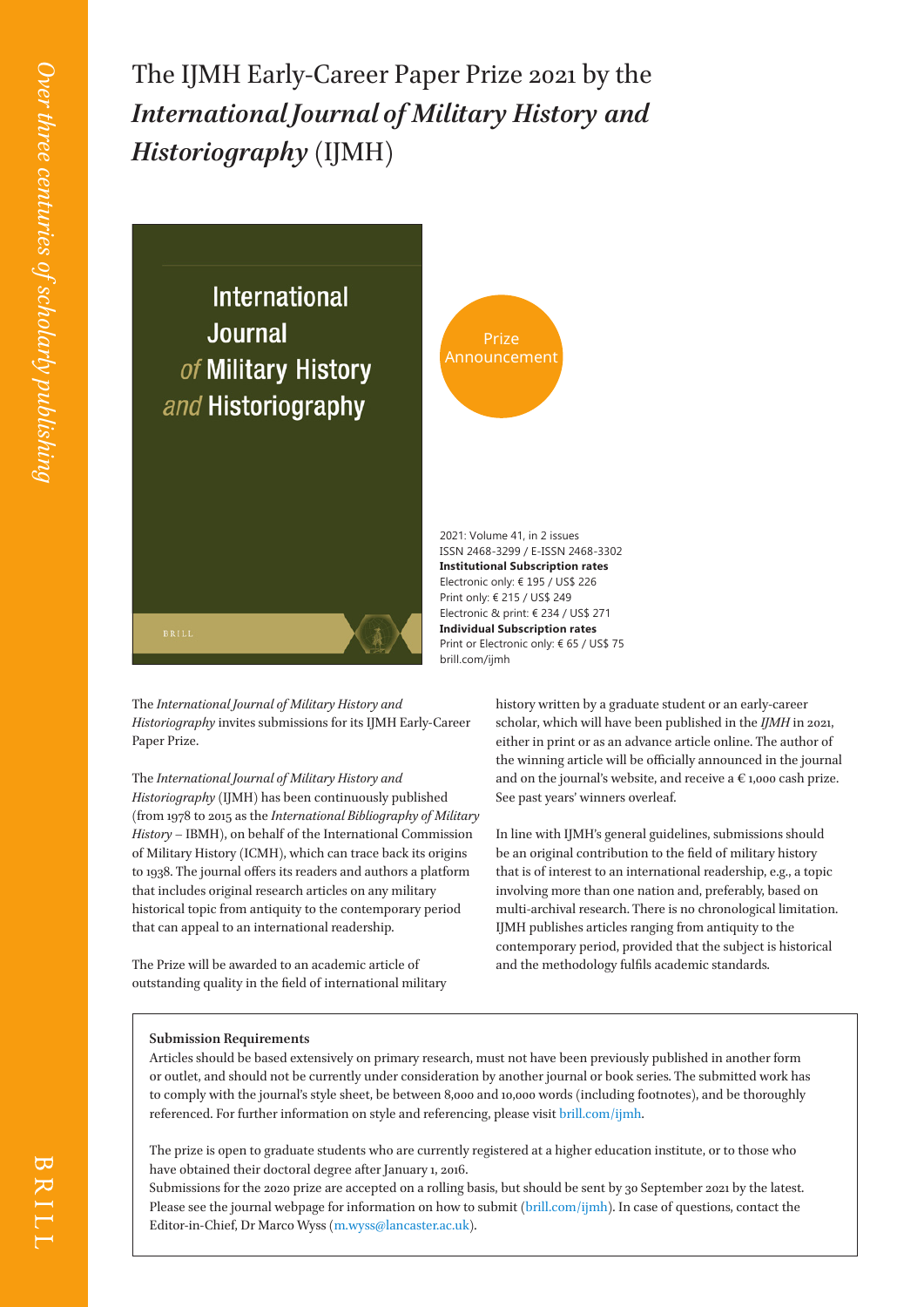The IJMH Early-Career Paper Prize 202 1 by the *International Journal of Military History and Historiography* (IJMH)



The *International Journal of Military History and Historiography* invites submissions for its IJMH Early-Career Paper Prize.

The *International Journal of Military History and Historiography* (IJMH) has been continuously published (from 1978 to 2015 as the *International Bibliography of Military History* – IBMH), on behalf of the International Commission of Military History (ICMH), which can trace back its origins to 1938. The journal offers its readers and authors a platform that includes original research articles on any military historical topic from antiquity to the contemporary period that can appeal to an international readership.

The Prize will be awarded to an academic article of outstanding quality in the field of international military history written by a graduate student or an early-career scholar, which will have been published in the *IJMH* in 202 1, either in print or as an advance article online. The author of the winning article will be officially announced in the journal and on the journal's website, and receive a  $\epsilon$  1,000 cash prize. See past years' winners overleaf.

In line with IJMH's general guidelines, submissions should be an original contribution to the field of military history that is of interest to an international readership, e.g., a topic involving more than one nation and, preferably, based on multi-archival research. There is no chronological limitation. IJMH publishes articles ranging from antiquity to the contemporary period, provided that the subject is historical and the methodology fulfils academic standards.

## **Submission Requirements**

Articles should be based extensively on primary research, must not have been previously published in another form or outlet, and should not be currently under consideration by another journal or book series. The submitted work has to comply with the journal's style sheet, be between 8,000 and 10,000 words (including footnotes), and be thoroughly referenced. For further information on style and referencing, please visit brill.com/ijmh.

The prize is open to graduate students who are currently registered at a higher education institute, or to those who have obtained their doctoral degree after January 1, 201 6 .

Submissions for the 2020 prize are accepted on a rolling basis, but should be sent by 30 September 202 1 by the latest. Please see the journal webpage for information on how to submit (brill.com/ijmh). In case of questions, contact the Editor-in-Chief, Dr Marco Wyss (m.wyss@lancaster.ac.uk).